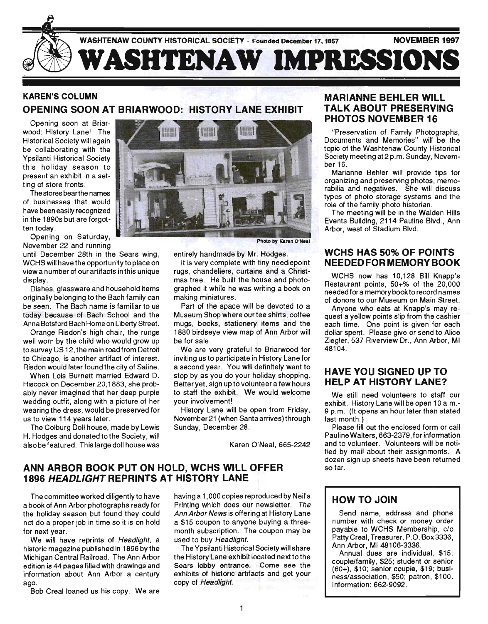

# **KAREN'S COLUMN OPENING SOON AT BRIARWOOD: HISTORY LANE EXHIBIT**

Opening soon at Briarwood: History Lane! The Historical Society will again be collaborating with the Ypsilanti Historical Society this holiday season to present an exhibit in a setting of store fronts.

The stores bearthe names of businesses that would have been easily recognized in the 1890s but are forgotten today.

Opening on Saturday, November 22 and running

until December 28th in the Sears wing, WCHS will have the opportunity to place on view a number of our artifacts in this unique display.

Dishes, glassware and household items originally belonging to the Bach family can be seen. The Bach name is familiar to us today because of Bach School and the Anna Botsford Bach Home on Liberty Street.

Orange Risdon's high chair, the rungs well worn by the child who would grow up tosurvey US 12, the main road from Detroit . to Chicago, is another artifact of interest. Risdon would later found the city of Saline.

When Lois Burnett married Edward D. Hiscock on December 20,1883, she probably never imagined that her deep purple wedding outfit, along with a picture of her wearing the dress, would be preserved for us to view 114 years later.

The Colburg Doll house, made by Lewis H. Hodges and donated to the Society, will also be featured. This large doll house was '



Photo by Karen O'Neal

entirely handmade by Mr. Hodges.

It is very complete with tiny needlepoint rugs, chandeliers, curtains and a Christmas tree. He built the house and photographed it while he was writing a book on making miniatures.

Part of the space will be devoted to a Museum Shop where our tee shirts, coffee mugs, books, stationery items and the 1880 birdseye view map of Ann Arbor will be for sale.

We are very grateful to Briarwood for inviting us to participate in History Lane for a second year. You will definitely want to stop by as you do your holiday shopping. Better yet, sign up to volunteer a few hours to staff the exhibit. We would welcome your involvement!

History Lane will be open from Friday, November21 (when Santa arrives) through Sunday, December 28.

Karen O'Neal, 665-2242

### **ANN ARBOR BOOK PUT ON HOLD, WCHS WILL OFFER 1896 HEADLIGHT REPRINTS AT HISTORY LANE**

The committee worked diligently to have a book of Ann Arbor photographs ready for the holiday season but found they could not do a proper job in time so it is on hold for next year.

We will have reprints of Headlight, a historic magazine published in 1896 by the Michigan Central Railroad. The Ann Arbor edition is 44 pages filled with drawings and information about Ann Arbor a century ago.

Bob Creal loaned us his copy. We are

havinga 1,OOOcopies reproduced by Neil's Printing which does our newsletter. The Ann Arbor News is offering at History Lane a \$15 coupon to anyone buying a threemonth subscription. The coupon may be used to buy Headlight.

The Ypsilanti Historical Society will share the History Lane exhibit located next to the Sears lobby entrance. Come see the exhibits of historic artifacts and get your copy of Headlight.

### **MARIANNE BEHLER WILL TALK ABOUT PRESERVING PHOTOS NOVEMBER 16**

"Preservation of Family Photographs, Documents and Memories" will be the topic of the Washtenaw County Historical Society meeting at2 p.m. Sunday, November 16.

Marianne Behler will provide tips for organizing and preserving photos, memorabilia and negatives. She will discuss types of photo storage systems and the role of the family photo historian.

The meeting will be in the Walden Hills Events Building, 2114 Pauline Blvd. , Ann Arbor, west of Stadium Blvd.

### **WCHS HAS 50% OF POINTS**  NEEDED FOR MEMORY BOOK

WCHS now has 10,128 Bill Knapp's Restaurant points, 50+% of the 20,000 needed for a memory book to record names of donors to our Museum on Main Street.

Anyone who eats at Knapp's may request a yellow points slip from the cashier each time. One point is given for each dollar spent. Please give or send to Alice Ziegler, 537 Riverview Dr., Ann Arbor, MI 48104.

### **HAVE YOU SIGNED UP TO HELP AT HISTORY LANE?**

We still need volunteers to staff our exhibit. History Lane will be open 10 a. m.- 9 p.m. (It opens an hour later than stated last month.)

Please fill out the enclosed form or call Pauline Walters, 663-2379, for information and to volunteer. Voluriteers will be notified by mail about their assignments. A dozen sign up sheets have been returned so far.

### HOW TO **JOIN**

Send name, address and phone number with check or money order payable to WCHS Membership, c/o Patty Creal, Treasurer, P.O. Box 3336, Ann Arbor, MI 48106-3336.

Annual dues are individual, \$15; couple/family, \$25; student or senior (60+), \$10; senior couple, \$19; business/association, \$50; patron, \$100. Information: 662-9092.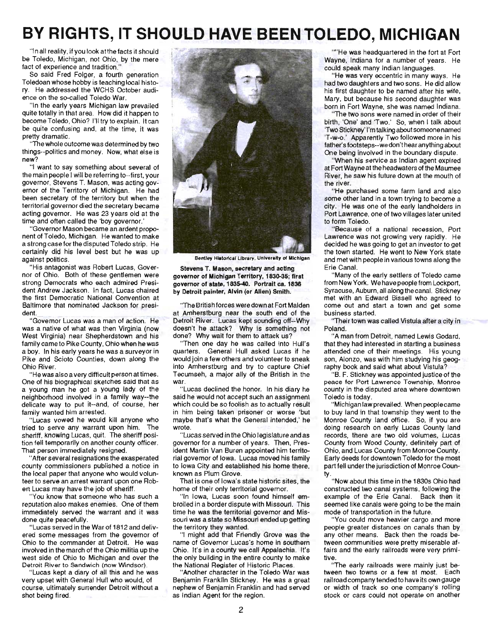# **BY RIGHTS, IT SHOULD HAVE BEEN TOLEDO, MICHIGAN**

"In all reality, if you look at the facts it should be Toledo, Michigan, not Ohio, by the mere fact of experience and tradition."

So said Fred Folger, a fourth generation Toledoan whose hobby is teaching local history. He addressed the WCHS October audience on the so-called Toledo War.

"In the early years Michigan law prevailed quite totally in that area. How did it happen to become Toledo, Ohio? I'll try to explain. It can be quite confusing and, at the time, it was pretty dramatic.

"The whole outcome was determined by two things--politics and money. Now, what else is new?

"I want to say something about several of the main people I will be referring to--first, your govemor, Stevens T. Mason, was acting governor of the Territory of Michigan. He had been secretary of the territory but when the territorial governor died the secretary became acting governor. He was 23 years old at the time and often called the 'boy governor. '

"Governor Mason became an ardent proponent of Toledo, Michigan. He wanted to make a strong case for the disputed Toledo strip. He certainly did his level best but he was up against politics.

"His antagonist was Robert Lucas, Governor of Ohio. Both of these gentlemen were strong Democrats who each admired President Andrew Jackson. In fact, Lucas chaired the first Democratic National Convention at Baltimore that nominated Jackson for president.

"Governor Lucas was a man of action. He was a native of what was then Virginia (now West Virginia) near Shepherdstown and his family came to Pike County, Ohio when he was a boy. In his early years he was a surveyor in Pike and Scioto Counties, down along the Ohio River.

"He was also a very difficult person at times. One of his biographical sketches said that as a young man he got a young lady of the neighborhood involved in a family way--the delicate way to put it--and, of course, her family wanted him arrested.

"Lucas vowed he would kill anyone who tried to serve any warrant upon him. The sheriff, knowing Lucas, quit. The sheriff position fell temporarily on another county officer. That person immediately resigned.

"After several resignations the exasperated county commissioners published a notice in the local paper that anyone who would volunteer to serve an arrest warrant upon one Robert Lucas may have the job of sheriff.

"You know that someone who has such a reputation also makes enemies. One of them immediately served the warrant and it was done quite peacefully.

" Lucas served in the War of 1812 and delivered some messages from the governor of Ohio to the commander at Detroit. He was involved in the march of the Ohio militia up the west side of Ohio to Michigan and over the Detroit River to Sandwich (now Windsor).

" Lucas kept a diary of all this and he was very upset with General Hull who WOUld, of course, ultimately surrender Detroit without a shot being fired.



Bentley Historical Library, University of Michigan

Stevena T. Mason, secretary and acting governor of Michigan Territory, 1830-3S; first governor of state, 1835-40. Portrait ca. 1836 by Detroit painter, Alvin (or Allen) Smith.

'The British forces were down at Fort Malden at Amherstburg near the south end of the Detroit River. Lucas kept sounding off--Why doesn't he attack? Why is something not done? Why wait for them to attack us?

'Then one day he was called into Hull's quarters. General Hull asked Lucas if he would join a few others and volunteer to sneak into Amherstburg and try to capture Chief Tecumseh, a major ally of the British in the war.

"Lucas declined the honor. In his diary he said he would not accept such an assignment which could be so foolish as to actually result in him being taken prisoner or worse 'but maybe that's what the General intended,' he wrote

" Lucas served in the Ohio legislature and as governor for a number of years. Then, President Martin Van Buren appointed him territorial govemor of Iowa. Lucas moved his family to Iowa City and established his home there, known as Plum Grove.

That is one of Iowa's state historic sites, the home of their only territorial governor.

"In Iowa, Lucas soon found himself embroiled in a border dispute with Missouri. This time he was the territorial governor and Missouri was a state so Missouri ended up getting the territory they wanted.

"I might add that Friendly Grove was the name of Governor Lucas's home in southern Ohio. It's in a county we call Appalachia. It's the only building in the entire county to make the National Register of Historic Places.

"Another character in the Toledo War was Benjamin Franklin Stickney. He was a great nephew of Benjamin Franklin and had served as Indian Agent for the region.

"" He was headquartered in the fort at Fort Wayne, Indiana for a number of years. He could speak many Indian languages.

"He was very eccentric in many ways. He had two daughters and two sons. He did allow his first daughter to be named after his wife, Mary, but because his second daughter was born in Fort Wayne, she was named Indiana.

"The two sons were named in order of their birth, 'One' and 'Two.' So, when I talk about Two Stickney' I'm talking about someone named 'T-w-o.' Apparently Two followed more in his father's footsteps--we don't hear anything about One being involved in the boundary dispute.

"When his service as Indian agent expired at Fort Wayne at the headwaters of the Maumee River, he saw his future down at the mouth of the river.

"He purchased some farm land and also some other land in a town trying to become a city. He was one of the early landholders in Port Lawrence, one of two villages later united to form Toledo.

" Because of a national recession, Port Lawrence was not growing very rapidly. He decided he was going to get an investor to get the town started. He went to New York state and met with people in various towns along the Erie Canal.

" Many of the early settlers of Toledo came from New York. We have people from Lockport, Syracuse, Auburn, all along the canal. Stickney met with an Edward Bissell who agreed to come out and start a town and get some business started.

"Their town was called Vistula after a city in Poland.

"A man from Detroit, named Lewis Godard, that they had interested in starting a business attended one of their meetings. His young son, Alonzo, was with him studying his geography book and said what about Vistula?

"B. F. Stickney was appointed justice of the peace for Port Lawrence Township, Monroe county in the disputed area where downtown Toledo is today .

"Michigan law prevailed. When peoplecame to buy land in that township they went to the Monroe County land office. So, if you are doing research on early Lucas County land records, there are two old volumes, Lucas County from Wood County, definitely part of Ohio, and Lucas County from Monroe County. Early deeds for downtown Toledo for the most part fell under the jurisdiction of Monroe County.

"Now about this time in the 1830s Ohio had constructed two canal systems, following the example of the Erie Canal. Back then it seemed like canals were going to be the main mode of transportation in the future.

"You could move heavier cargo and more people greater distances on canals than by any other means. Back then the roads between communities were pretty miserable affairs and the early railroads were very primitive.

'The early railroads were mainly just between two towns or a few at most. Each rail road company tended to have its own gauge or width of track so one company's rolling stock or cars could not operate on another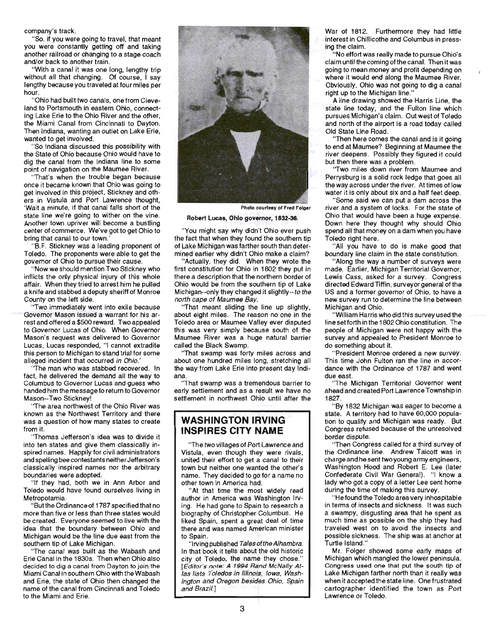company's track.

"So. if you were going to travel, that meant you were constantly getting off and taking another railroad or changing to a stage coach and/or back to another train.

"With a canal it was one long, lengthy trip without all that changing. Of course, I say lengthy because you traveled at four miles per hour.

"Ohio had built two canals, one from Cleveland to Portsmouth in eastem Ohio, connecting Lake Erie to the Ohio River and the other, the Miami Canal from Cincinnati to Dayton. Then Indiana, wanting an outlet on Lake Erie, wanted to get involved.

"So Indiana discussed this possibility with the State of Ohio because Ohio would have to dig the canal from the Indiana line to some point of navigation on the Maumee River.

"That's when the trouble began because once it became known that Ohio was going to get involved in this project, Stickney and others in Vistula and Port Lawrence thought, 'Wait a minute, if that canal falls short of the state line we're going to wither on the vine. Another town upriver will become a bustling center of commerce. We've got to get Ohio to bring that canal to our town.'

"B.F. Stickney was a leading proponent of Toledo. The proponents were able to get the govemor of Ohio to pursue their cause.

"Now we should mention Two Stickney who inflicts the only physical injury of this whole affair. When they tried to arrest him he pulled a knife and stabbed a deputy sheriff of Monroe County on the left side.

"Two immediately went into exile because Govemor Mason issued a warrant for his arrest and offered a \$500 reward. Two appealed to Governor Lucas of Ohio. When Governor Mason's request was delivered to Governor Lucas, Lucas responded, "I cannot extradite this person to Michigan to stand trial for some alleged incident that occurred in Ohio.'

"The man who was stabbed recovered. In fact, he delivered the demand all the way to Columbus to Governor Lucas and guess who handed him the message to return to Governor Mason--Two Stickney!

'The area northwest of the Ohio River was known as the Northwest Territory and there was a question of how many states to create from it.

'Thomas Jefferson's idea was to divide it into ten states and give them classically inspired names. Happily for civil administrators and spelling bee contestants neither Jefferson's classically inspired names nor the arbitrary boundaries were adopted.

"If they had, both we in Ann Arbor and Toledo would have found ourselves living in Metropotamia.

"But the Ordinance of 1787 specified that no more than five or less than three states would be created. Everyone seemed to live with the idea that the boundary between Ohio and Michigan would be the line due east from the southern tip of Lake Michigan.

"The canal was built as the Wabash and Erie Canal in the 1830s. Then when Ohio also decided to dig a canal from Dayton to join the Miami Canal in southern Ohio with the Wabash and Erie, the state of Ohio then changed the name of the canal from Cincinnati and Toledo to the Miami and Erie.



Photo courtesy of Fred Folger

Robert Lucas, Ohio governor, 1832-36.

"You might say why didn't Ohio ever push the fact that when they found the southern tip of Lake Michigan was farther south than determined earlier why didn't Ohio make a claim?

"Actually, they did. When they wrote the first constitution for Ohio in 1802 they put in there a description that the northern border of Ohio would be from the southern tip of Lake Michigan--only they changed it slightly--to the north cape of Maumee Bay.

"That meant sliding the line up slightly, about eight miles. The reason no one in the Toledo area or Maumee Valley ever disputed this was very simply because south of the Maumee River was a huge natural barrier called the Black Swamp.

"That swamp was forty miles across and about one hundred miles long, stretching all the way from Lake Erie into present day Indiana.

'That swamp was a tremendous barrier to early settlement and as a result we have no settlement in northwest Ohio until after the

#### **WASHINGTON IRVING INSPIRES CITY NAME**

"The two villages of Port Lawrence and Vistula, even though they were rivals, united their effort to get a canal to their town but neither one wanted the other's name. They decided to go for a name no other town in America had.

"At that time the most widely read author in America was Washington Irving. He had gone to Spain to research a biography of Christopher Columbus. He liked Spain, spent a great deal of time there and was named American minister to Spain.

"Irving published Tales of the Alhambra. In that book it tells about the old historic city of Toledo, the name they chose." [Editor's note: A 1994 Rand McNally Atlas lists Toledos in Illinois, Iowa, Washington and Oregon besides Ohio, Spain and Brazil. J

War of 1812. Furthermore they had little interest in Chillicothe and Columbus in pressing the claim. .

"No effort was really made to pursue Ohio's claim until the coming of the canal. Then it was going to mean money and profit depending on where it would end along the Maumee River. Obviously, Ohio was not going to dig a canal right up to the Michigan line."

A line drawing showed the Harris Line, the state line today, and the Fulton line which pursues Michigan's claim. Out west of Toledo and north of the airport is a road today called Old State Line Road.

"Then here comes the canal and is it going to end at Maumee? Beginning at Maumee the river deepens. Possibly they figured it could but then there was a problem.

'Two miles down river from Maumee and Perrysburg is a solid rock ledge that goes all the way across under the river. At times of low water it is only about six and a half feet deep.

"Some said we can put a dam across the river and a system of locks. For the state of Ohio that would have been a huge expense. Down here they thought why should Ohio spend all that money on a dam when you have Toledo right here.

"All you have to do is make good that boundary line claim in the state constitution.

"Along the way a number of surveys were made. Earlier, Michigan Territorial Governor, Lewis Cass, asked for a survey. Congress directed Edward Tiffin. surveyor general of the US and a former governor of Ohio, to have a new survey run to determine the line between Michigan and Ohio.

"William Harris who did this survey used the line setforth in the 1802 Ohio constitution. The people of Michigan were not happy with the survey and appealed to President Monroe to do something about it.

"President Monroe ordered a new survey. This time John Fulton ran the line in accordance with the Ordinance of 1787 and went due east.

' 'The Michigan Territorial Governor went ahead and created Port Lawrence Township in 1827.

"By 1832 Michigan was eager to become a state. A territory had to have 60,000 population to qualify and Michigan was ready. But Congress refused because of the unresolved border dispute.

"Then Congress called for a third survey of the Ordinance line. Andrew Talcott was in charge and he sent two young army engineers, Washington Hood and Robert E. Lee (later Confederate Civil War General). "I know a lady who got a copy of a letter Lee sent home during the time of making this survey.

"He found the Toledo area very inhospitable in terms of insects and sickness. It was such a swampy, disgusting area that he spent as much time as possible on the ship they had traveled west on to avoid the insects and possible sickness. The ship was at anchor at Turtle Island."

Mr. Folger showed some early maps of Michigan which mangled the lower peninsula. Congress used one that put the south tip of Lake Michigan farther north than it really was when it accepted the state line. One frustrated cartographer identified the town as Port Lawrence or Toledo.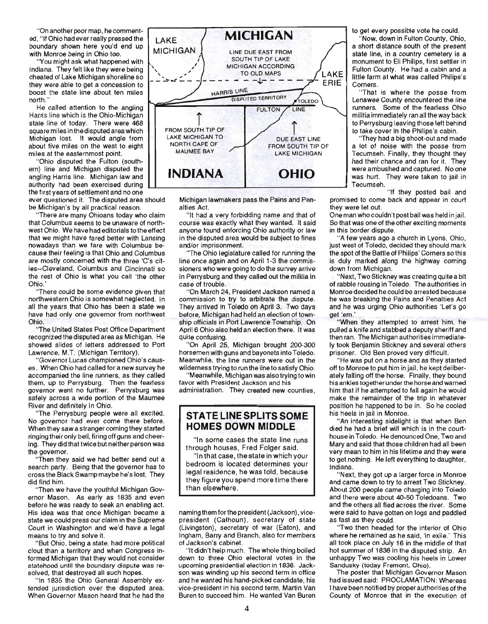"On another poor map, he commented, "If Ohio had ever really pressed the LAKE boundary shown here you'd end up

"You might ask what happened with Indiana. They felt like they were being cheated of Lake Michigan shoreline so boost the state line about ten miles north."

He called attention to the angling Harris line which is the Ohio-Michigan state line of today. There were 468 square miles in the disputed area which Michigan lost. It would angle from about five miles on the west to eight miles at the eastemmost point.

"Ohio disputed the Fulton (southern) line and Michigan disputed the angling Harris line. Michigan law and authority had been exercised during the first years of settlement and no one

ever questioned it. The disputed area should be Michigan's by all practical reason.

"There are many Ohioans today who claim that Columbus seems to be unaware of northwest Ohio. We have had editorials to the effect that we might have fared better with Lansing nowadays than we fare with Columbus because their feeling is that Ohio and Columbus are mostly concerned with the three 'C's cities--Cleveland, Columbus and Cincinnati so the rest of Ohio is what you call 'the other Ohio.'

"There could be some evidence given that northwestern Ohio is somewhat neglected. In all the years that Ohio has been a state we have had only one governor from northwest Ohio.

"The United States Post Office Department recognized the disputed area as Michigan. He showed slides of letters addressed to Port Lawrence, M.T. (Michigan Territory).

"Governor Lucas championed Ohio's causes. When Ohio had called for a new survey he accompanied the line runners, as they called them, up to Perrysburg. Then the fearless governor went no further. Perrysburg was safely across a wide portion of the Maumee River and definitely in Ohio.

"The Perrysburg people were all excited. No governor had ever come there before. When they saw a stranger coming they started ringing their only bell, firing off guns and cheering. They did that twice but neither person was the govemor.

"Then they said we had better send out a search party. Being that the governor has to cross the Black Swamp maybe he's lost. They did find him.

"Then we have the youthful Michigan Governor Mason. As early as 1835 and even before he was ready to seek an enabling act. His idea was that once Michigan became a state we could press our claim in the Supreme Court in Washington and we'd have a legal means to try and solve it.

"But Ohio, being a state, had more political clout than a territory and when Congress informed Michigan that they would not consider statehood until the boundary dispute was resolved, that destroyed all such hopes.

"In 1835 the Ohio General Assembly extended jurisdiction over the disputed area. When Governor Mason heard that he had the



Michigan lawmakers pass the Pains and Penalties Act.

"It had a very forbidding name and that of course was exactly what they wanted. It said anyone found enforcing Ohio authority or law in the disputed area would be subject to fines and/or imprisonment.

"The Ohio legislature called for running the line once again and on April 1-3 the commissioners who were going to do the survey arrive in Perrysburg and they called out the militia in case of trouble.

"On March 24, President Jackson named a commission to try to arbitrate the dispute. They arrived in Toledo on April 3. Two days before, Michigan had held an election of township officials in Port Lawrence Township. On April 6 Ohio also held an election there. It was quite confusing.

"On April 25, Michigan brought 200-300 horsemen with guns and bayonets into Toledo. Meanwhile, the line runners were out in the wildemess trying to run the line to satisfy Ohio.

"Meanwhile, Michigan was also trying to win favor with President Jackson and his administration. They created new counties,

### **STATE LINE SPLITS SOME HOMES DOWN MIDDLE**

"In some cases the state line runs through houses, Fred Folger said.

"In that case, the state in which your bedroom is located determines your legal residence, he was told, because they figure you spend more time there than elsewhere.

naming them for the president (Jackson), vicepresident (Calhoun), secretary of state (Livingston), secretary of war (Eaton), and Ingham, Barry and Branch, also for members of Jackson's cabinet.

"It didn't help much. The whole thing boiled down to three Ohio electoral votes in the upcoming presidential election in 1836. Jackson was winding up his second term in office and he wanted his hand-picked candidate, his vice-president in his second term, Martin Van Buren to succeed him. He wanted Van Buren to get every possible vote he could.

"Now, down in Fulton County, Ohio, a short distance south of the present state line, in a country cemetery is a monument to Eli Philips, first settler in Fulton County. He had a cabin and a little farm at what was called Philips's Corners.

"That is where the posse from Lenawee County encountered the line runners. Some of the fearless Ohio militia immediately ran all the way back to Perrysburg leaving those left behind to take cover in the Philips's cabin .

They had a big shoot-out and made a lot of noise with the posse from Tecumseh. Finally, they thought they had their chance and ran for it. They were ambushed and captured. No one was hurt. They were taken to jail in Tecumseh.

"If they posted bail and promised to come back and appear in court they were let out.

One man who couldn't post bail was held in jail. So that was one of the other exciting moments in this border dispute.

"A few years ago a church in Lyons, Ohio, just west of Toledo, decided they should mark the spot of the Battle of Philips' Corners so this is duly marked along the highway coming down from Michigan.

"Next, Two Stickney was creating quite a bit of rabble rousing in Toledo. The authorities in Monroe decided he could be arrested because he was breaking the Pains and Penalties Act and he was urging Ohio authorities 'Let's go get 'em.

"When they attempted to arrest him, he pulled a knife and stabbed a deputy sheriff and then ran. The Michigan authorities immediately took Benjamin Stickney and several others prisoner. Old Ben proved very difficult.

"He was put on a horse and as they started off to Monroe to put him in jail, he kept deliberately falling off the horse. Finally, they bound his ankles together under the horse and wamed him that if he attempted to fall again he would make the remainder of the trip in whatever position he happened to be in. So he cooled his heels in jail in Monroe.

An interesting sidelight is that when Ben died he had a brief will which is in the courthouse in Toledo. He denounced One, Two and Mary and said that those children had all been very mean to him in his lifetime and they were to get nothing. He left everything to daughter, Indiana.

"Next, they got up a larger force in Monroe and came down to try to arrest Two Stickney. About 200 people came charging into Toledo and there were about 40-50 Toledoans. Two and the others all fled across the river. Some were said to have gotten on logs and paddled as fast as they could.

"Two then headed for the interior of Ohio where he remained as he said, 'in exile.' This all took place on July 16 in the middle of that hot summer of 1836 in the disputed strip. An unhappy Two was cooling his heels in Lower Sandusky (today Fremont. Ohio).

The poster that Michigan Governor Mason had issued said: PROCLAMATION: Whereas I have been notified by proper authorities of the County of Monroe that in the execution of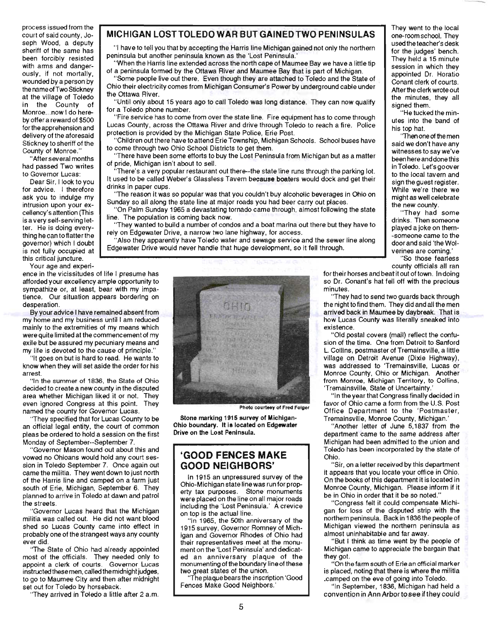process issued from the court of said county, Joseph Wood, a deputy sheriff of the same has been forcibly resisted with arms and dangerously, if not mortally, wounded by a person by the name of Two Stickney at the village of Toledo in the County of Monroe...now I do hereby offer a reward of \$500 for the apprehension and delivery of the aforesaid Stickney to sheriff of the County of Monroe."

"After several months had passed Two writes to Governor Lucas:

Dear Sir, I look to you for advice. I therefore ask you to indulge my intrusion upon your excellency's attention (This is a very self-serving letter. He is doing everything he can to flatter the governor) which I doubt is not fully occupied at this critical juncture.

Your age and experi-

ence in the vicissitudes of life I presume has afforded your excellency ample opportunity to sympathize or, at least, bear with my impatience. Our situation appears bordering on desperation.

By your advice I have remained absent from my home and my business until I am reduced mainly to the extremities of my means which were quite limited at the commencement of my exile but be assured my pecuniary means and my life is devoted to the cause of principle."

"It goes on but is hard to read. He wants to know when they will set aside the order for his arrest.

"In the summer of 1836, the State of Ohio decided to create a new county in the disputed area whether Michigan liked it or not. They even ignored Congress at this point. They named the county for Governor Lucas.

''They specified that for Lucas County to be an official legal entity, the court of common pleas be ordered to hold a session on the first Monday of September--September 7.

"Governor Mason found out about this and vowed no Ohioans would hold any court session in Toledo September 7. Once again out came the militia. They went down to just north of the Harris line and camped on a farm just south of Erie, Michigan, September 6. They planned to arrive in Toledo at dawn and patrol the streets.

"Governor Lucas heard that the Michigan militia was called out. He did not want blood shed so Lucas County came into effect in probably one of the strangest ways any county ever did.

"The State of Ohio had already appointed most of the officials. They needed only to appoint a clerk of courts. Governor Lucas instructed these men, called the midnight judges, to go to Maumee City and then after midnight set out for Toledo by horseback.

''They arrived in Toledo a little after 2 a.m.

# **MICHIGAN LOST TOLEDO WAR BUT GAINED TWO PENINSULAS** They went to the local

"I have to tell you that by accepting the Harris line Michigan gained not only the northern peninsula but another peninsula known as the 'Lost Peninsula.'

"When the Harris line extended across the north cape of Maumee Bay we have a little tip of a peninsula formed by the Ottawa River and Maumee Bay that is part of Michigan.

"Some people live out there. Even though they are attached to Toledo and the State of Ohio their electricity comes from Michigan Consumer's Power by underground cable under the Ottawa River.

"Until only about 15 years ago to call Toledo was long distance. They can now qualify for a Toledo phone number.<br>He tucked the min-<br>A the tucked the min-

Lucas County, across the Ottawa River and drive through Toledo to reach a fire. Police protection is provided by the Michigan State Police, Erie Post.<br>
Then one of the men

"Children out there have to attend Erie Township, Michigan Schools. School buses have to come through two Ohio School Districts to get them.

"There have been some efforts to buy the Lost Peninsula from Michigan but as a matter of pride, Michigan isn't about to sell.

There's a very popular restaurant out there--the state line runs through the parking lot. It used to be called Weber's Glassless Tavern because boaters would dock and get their drinks in paper cups.

"The reason it was so popular was that you couldn't buy alcoholic beverages in Ohio on Sunday so all along the state line at major roads you had beer carry out places.

"On Palm Sunday 1965 a devastating tornado came through, almost following the state line. The population is coming back now. "They had some

They wanted to build a number of condos and a boat marina out there but they have to rely on Edgewater Drive, a narrow two lane highway, for access.

"Also they apparently have Toledo water and sewage service and the sewer line along Edgewater Drive would never handle that huge development, so it fell through.



Photo courtesy of Fred Folger

**Stone marking 1915 survey of Mlchlgan-**Ohio boundary. It is located on Edgewater **Drive on the Lost Peninsula.** 

### **'GOOD FENCES MAKE GOOD NEIGHBORS'**

In 1915 an unpressured survey of the Ohio-Michigan state line was run for property tax purposes. Stone monuments were placed on the line on all major roads including the 'Lost Peninsula.' A crevice on top is the actual line.

"In 1965, the 50th anniversary of the 1915 survey, Governor Romney of Michigan and Govemor Rhodes of Ohio had their representatives meet at the monument on the 'Lost Peninsula' and dedicated an anniversary plaque of the monumenting of the boundary line of these two great states of the union.

"The plaque bears the inscription 'Good Fences Make Good Neighbors.'

one-room school. They used the teacher's desk for the judges' bench. They held a 15 minute session in which they appointed Dr. Horatio Conant clerk of courts. After the clerk wrote out the minutes, they all signed them.

utes into the band of his top hat.

said we don't have any witnesses to say we've been here and done this in Toledo. Let'sgoover to the local tavern and sign the guest register. While we're there we might as well celebrate the new county.

drinks. Then someone played a joke on them- -someone came to the door and said 'the Wolverines are coming.'

"So those fearless county officials all ran

for their horses and beat it out of town. In doing so Dr. Conant's hat fell off with the precious minutes.

They had to send two guards back through the night to find them. They did and all the men arrived back in Maumee by daybreak. That is how Lucas County was literally sneaked into existence.

"Old postal covers (mail) reflect the confusion of the time. One from Detroit to Sanford L Collins, postmaster of Tremainsville, a little village on Detroit Avenue (Dixie Highway), was addressed to 'Tremainsville, Lucas or Monroe County, Ohio or Michigan. Another from Monroe, Michigan Territory, to Collins, 'Tremainsville, State of Uncertainty.'

"In the year that Congress finally decided in favor of Ohio came a form from the U.S. Post Office Department to the 'Postmaster, Tremainsville, Monroe County, Michigan.'

"Another letter of June 5,1837 from the department came to the same address after Michigan had been admitted to the union and Toledo has been incorporated by the state of Ohio.

"Sir, on a letter received by this department it appears that you locate your office in Ohio. On the books of this department it is located in Monroe County, Michigan. Please inform if it be in Ohio in order that it be so noted."

"Congress felt it could compensate Michigan for loss of the disputed strip with the northem peninsula. Back in 1836 the people of Michigan viewed the northem peninsula as almost uninhabitable and far away.

"But I think as time went by the people of Michigan came to appreciate the bargain that they got.

"On the farm south of Erie an official marker is placed, noting that there is where the militia .camped on the eve of going into Toledo.

"'n September, 1836, Michigan had held a convention in Ann Arbor to see if they could